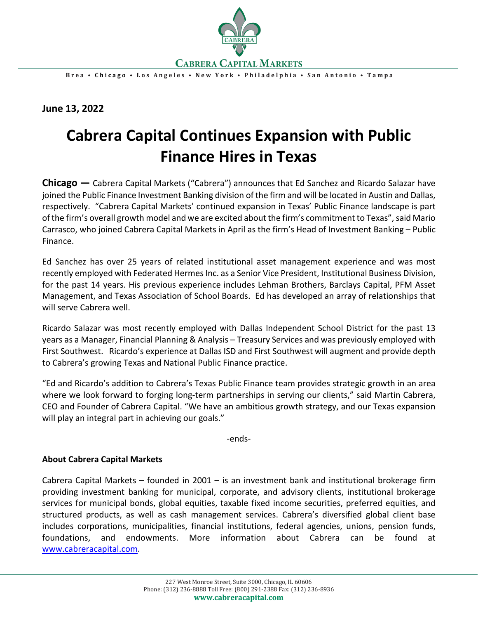

**Brea • Chicago • Los Angeles • New York • Philadelphia • San Antonio • Tampa**

**June 13, 2022**

## **Cabrera Capital Continues Expansion with Public Finance Hires in Texas**

**Chicago —** Cabrera Capital Markets ("Cabrera") announces that Ed Sanchez and Ricardo Salazar have joined the Public Finance Investment Banking division of the firm and will be located in Austin and Dallas, respectively. "Cabrera Capital Markets' continued expansion in Texas' Public Finance landscape is part of the firm's overall growth model and we are excited about the firm's commitment to Texas", said Mario Carrasco, who joined Cabrera Capital Markets in April as the firm's Head of Investment Banking – Public Finance.

Ed Sanchez has over 25 years of related institutional asset management experience and was most recently employed with Federated Hermes Inc. as a Senior Vice President, Institutional Business Division, for the past 14 years. His previous experience includes Lehman Brothers, Barclays Capital, PFM Asset Management, and Texas Association of School Boards. Ed has developed an array of relationships that will serve Cabrera well.

Ricardo Salazar was most recently employed with Dallas Independent School District for the past 13 years as a Manager, Financial Planning & Analysis – Treasury Services and was previously employed with First Southwest. Ricardo's experience at Dallas ISD and First Southwest will augment and provide depth to Cabrera's growing Texas and National Public Finance practice.

"Ed and Ricardo's addition to Cabrera's Texas Public Finance team provides strategic growth in an area where we look forward to forging long-term partnerships in serving our clients," said Martin Cabrera, CEO and Founder of Cabrera Capital. "We have an ambitious growth strategy, and our Texas expansion will play an integral part in achieving our goals."

-ends-

## **About Cabrera Capital Markets**

Cabrera Capital Markets – founded in 2001 – is an investment bank and institutional brokerage firm providing investment banking for municipal, corporate, and advisory clients, institutional brokerage services for municipal bonds, global equities, taxable fixed income securities, preferred equities, and structured products, as well as cash management services. Cabrera's diversified global client base includes corporations, municipalities, financial institutions, federal agencies, unions, pension funds, foundations, and endowments. More information about Cabrera can be found at [www.cabreracapital.com.](http://www.cabreracapital.com/)